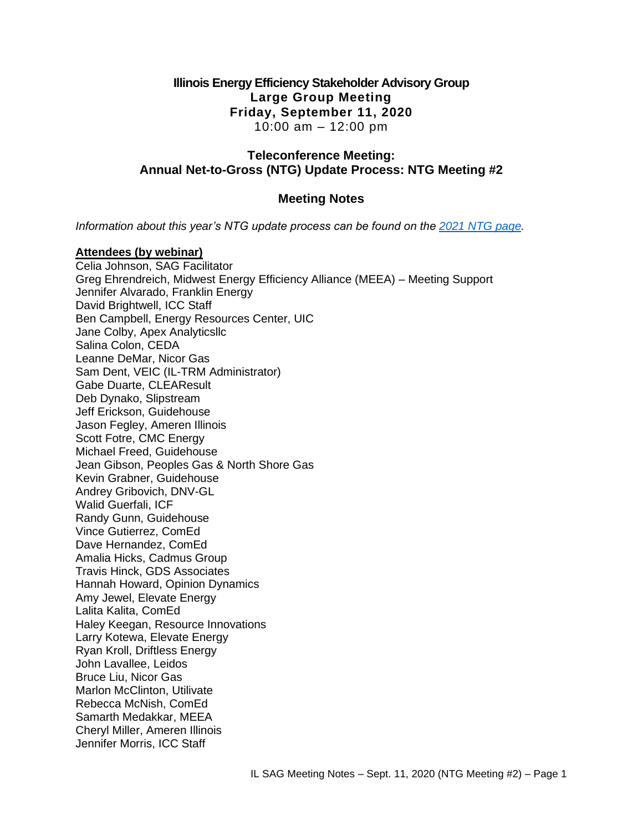## **Illinois Energy Efficiency Stakeholder Advisory Group Large Group Meeting Friday, September 11, 2020** 10:00 am – 12:00 pm

## **Teleconference Meeting: Annual Net-to-Gross (NTG) Update Process: NTG Meeting #2**

## **Meeting Notes**

*Information about this year's NTG update process can be found on the [2021 NTG page.](https://www.ilsag.info/evaluator-ntg-recommendations-for-2021/)*

### **Attendees (by webinar)**

Celia Johnson, SAG Facilitator Greg Ehrendreich, Midwest Energy Efficiency Alliance (MEEA) – Meeting Support Jennifer Alvarado, Franklin Energy David Brightwell, ICC Staff Ben Campbell, Energy Resources Center, UIC Jane Colby, Apex Analyticsllc Salina Colon, CEDA Leanne DeMar, Nicor Gas Sam Dent, VEIC (IL-TRM Administrator) Gabe Duarte, CLEAResult Deb Dynako, Slipstream Jeff Erickson, Guidehouse Jason Fegley, Ameren Illinois Scott Fotre, CMC Energy Michael Freed, Guidehouse Jean Gibson, Peoples Gas & North Shore Gas Kevin Grabner, Guidehouse Andrey Gribovich, DNV-GL Walid Guerfali, ICF Randy Gunn, Guidehouse Vince Gutierrez, ComEd Dave Hernandez, ComEd Amalia Hicks, Cadmus Group Travis Hinck, GDS Associates Hannah Howard, Opinion Dynamics Amy Jewel, Elevate Energy Lalita Kalita, ComEd Haley Keegan, Resource Innovations Larry Kotewa, Elevate Energy Ryan Kroll, Driftless Energy John Lavallee, Leidos Bruce Liu, Nicor Gas Marlon McClinton, Utilivate Rebecca McNish, ComEd Samarth Medakkar, MEEA Cheryl Miller, Ameren Illinois Jennifer Morris, ICC Staff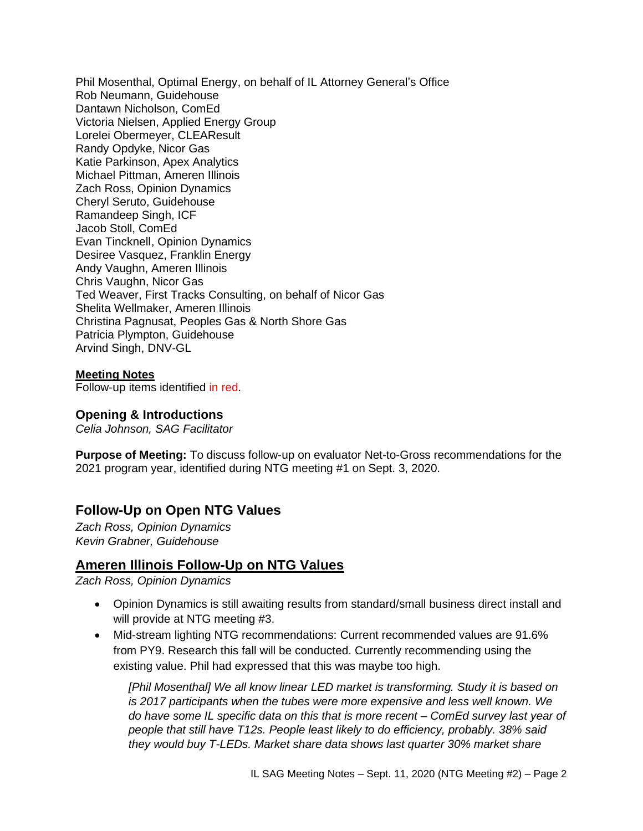Phil Mosenthal, Optimal Energy, on behalf of IL Attorney General's Office Rob Neumann, Guidehouse Dantawn Nicholson, ComEd Victoria Nielsen, Applied Energy Group Lorelei Obermeyer, CLEAResult Randy Opdyke, Nicor Gas Katie Parkinson, Apex Analytics Michael Pittman, Ameren Illinois Zach Ross, Opinion Dynamics Cheryl Seruto, Guidehouse Ramandeep Singh, ICF Jacob Stoll, ComEd Evan Tincknell, Opinion Dynamics Desiree Vasquez, Franklin Energy Andy Vaughn, Ameren Illinois Chris Vaughn, Nicor Gas Ted Weaver, First Tracks Consulting, on behalf of Nicor Gas Shelita Wellmaker, Ameren Illinois Christina Pagnusat, Peoples Gas & North Shore Gas Patricia Plympton, Guidehouse Arvind Singh, DNV-GL

**Meeting Notes**

Follow-up items identified in red.

#### **Opening & Introductions**

*Celia Johnson, SAG Facilitator*

**Purpose of Meeting:** To discuss follow-up on evaluator Net-to-Gross recommendations for the 2021 program year, identified during NTG meeting #1 on Sept. 3, 2020.

# **Follow-Up on Open NTG Values**

*Zach Ross, Opinion Dynamics Kevin Grabner, Guidehouse*

## **Ameren Illinois Follow-Up on NTG Values**

*Zach Ross, Opinion Dynamics*

- Opinion Dynamics is still awaiting results from standard/small business direct install and will provide at NTG meeting #3.
- Mid-stream lighting NTG recommendations: Current recommended values are 91.6% from PY9. Research this fall will be conducted. Currently recommending using the existing value. Phil had expressed that this was maybe too high.

*[Phil Mosenthal] We all know linear LED market is transforming. Study it is based on is 2017 participants when the tubes were more expensive and less well known. We do have some IL specific data on this that is more recent – ComEd survey last year of people that still have T12s. People least likely to do efficiency, probably. 38% said they would buy T-LEDs. Market share data shows last quarter 30% market share*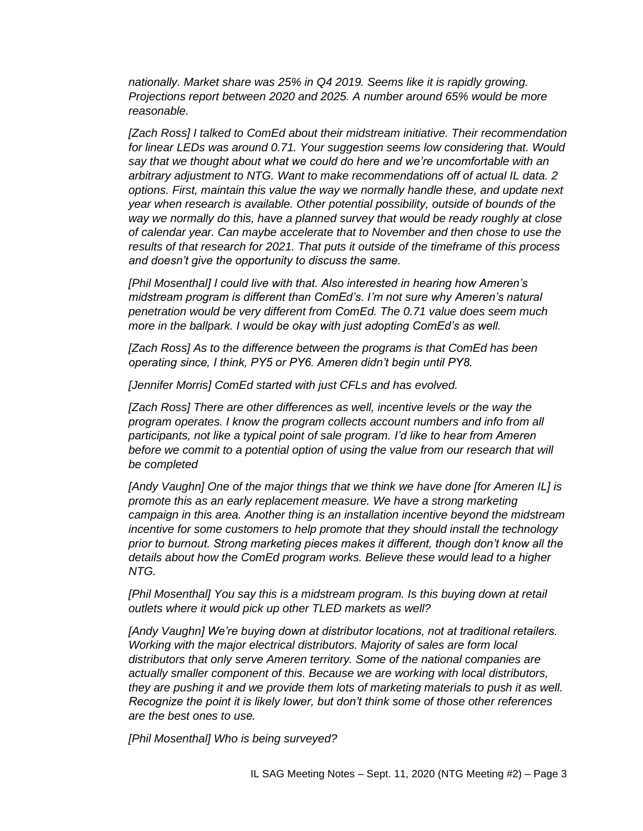*nationally. Market share was 25% in Q4 2019. Seems like it is rapidly growing. Projections report between 2020 and 2025. A number around 65% would be more reasonable.*

*[Zach Ross] I talked to ComEd about their midstream initiative. Their recommendation for linear LEDs was around 0.71. Your suggestion seems low considering that. Would say that we thought about what we could do here and we're uncomfortable with an arbitrary adjustment to NTG. Want to make recommendations off of actual IL data. 2 options. First, maintain this value the way we normally handle these, and update next year when research is available. Other potential possibility, outside of bounds of the way we normally do this, have a planned survey that would be ready roughly at close of calendar year. Can maybe accelerate that to November and then chose to use the results of that research for 2021. That puts it outside of the timeframe of this process and doesn't give the opportunity to discuss the same.*

*[Phil Mosenthal] I could live with that. Also interested in hearing how Ameren's midstream program is different than ComEd's. I'm not sure why Ameren's natural penetration would be very different from ComEd. The 0.71 value does seem much more in the ballpark. I would be okay with just adopting ComEd's as well.*

*[Zach Ross] As to the difference between the programs is that ComEd has been operating since, I think, PY5 or PY6. Ameren didn't begin until PY8.* 

*[Jennifer Morris] ComEd started with just CFLs and has evolved.*

*[Zach Ross] There are other differences as well, incentive levels or the way the program operates. I know the program collects account numbers and info from all participants, not like a typical point of sale program. I'd like to hear from Ameren*  before we commit to a potential option of using the value from our research that will *be completed*

*[Andy Vaughn] One of the major things that we think we have done [for Ameren IL] is promote this as an early replacement measure. We have a strong marketing campaign in this area. Another thing is an installation incentive beyond the midstream incentive for some customers to help promote that they should install the technology prior to burnout. Strong marketing pieces makes it different, though don't know all the details about how the ComEd program works. Believe these would lead to a higher NTG.*

*[Phil Mosenthal] You say this is a midstream program. Is this buying down at retail outlets where it would pick up other TLED markets as well?*

*[Andy Vaughn] We're buying down at distributor locations, not at traditional retailers. Working with the major electrical distributors. Majority of sales are form local distributors that only serve Ameren territory. Some of the national companies are actually smaller component of this. Because we are working with local distributors, they are pushing it and we provide them lots of marketing materials to push it as well. Recognize the point it is likely lower, but don't think some of those other references are the best ones to use.*

*[Phil Mosenthal] Who is being surveyed?*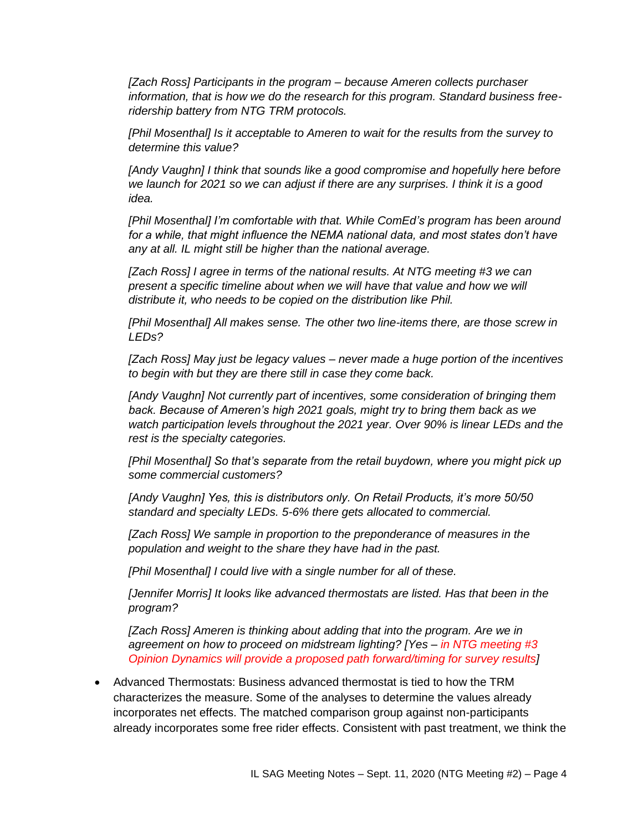*[Zach Ross] Participants in the program – because Ameren collects purchaser information, that is how we do the research for this program. Standard business freeridership battery from NTG TRM protocols.*

*[Phil Mosenthal] Is it acceptable to Ameren to wait for the results from the survey to determine this value?*

*[Andy Vaughn] I think that sounds like a good compromise and hopefully here before we launch for 2021 so we can adjust if there are any surprises. I think it is a good idea.* 

*[Phil Mosenthal] I'm comfortable with that. While ComEd's program has been around*  for a while, that might influence the NEMA national data, and most states don't have *any at all. IL might still be higher than the national average.*

*[Zach Ross] I agree in terms of the national results. At NTG meeting #3 we can present a specific timeline about when we will have that value and how we will distribute it, who needs to be copied on the distribution like Phil.* 

*[Phil Mosenthal] All makes sense. The other two line-items there, are those screw in LEDs?*

*[Zach Ross] May just be legacy values – never made a huge portion of the incentives to begin with but they are there still in case they come back.*

*[Andy Vaughn] Not currently part of incentives, some consideration of bringing them back. Because of Ameren's high 2021 goals, might try to bring them back as we watch participation levels throughout the 2021 year. Over 90% is linear LEDs and the rest is the specialty categories.*

*[Phil Mosenthal] So that's separate from the retail buydown, where you might pick up some commercial customers?*

*[Andy Vaughn] Yes, this is distributors only. On Retail Products, it's more 50/50 standard and specialty LEDs. 5-6% there gets allocated to commercial.*

*[Zach Ross] We sample in proportion to the preponderance of measures in the population and weight to the share they have had in the past.*

*[Phil Mosenthal] I could live with a single number for all of these.*

*[Jennifer Morris] It looks like advanced thermostats are listed. Has that been in the program?*

*[Zach Ross] Ameren is thinking about adding that into the program. Are we in agreement on how to proceed on midstream lighting? [Yes – in NTG meeting #3 Opinion Dynamics will provide a proposed path forward/timing for survey results]*

• Advanced Thermostats: Business advanced thermostat is tied to how the TRM characterizes the measure. Some of the analyses to determine the values already incorporates net effects. The matched comparison group against non-participants already incorporates some free rider effects. Consistent with past treatment, we think the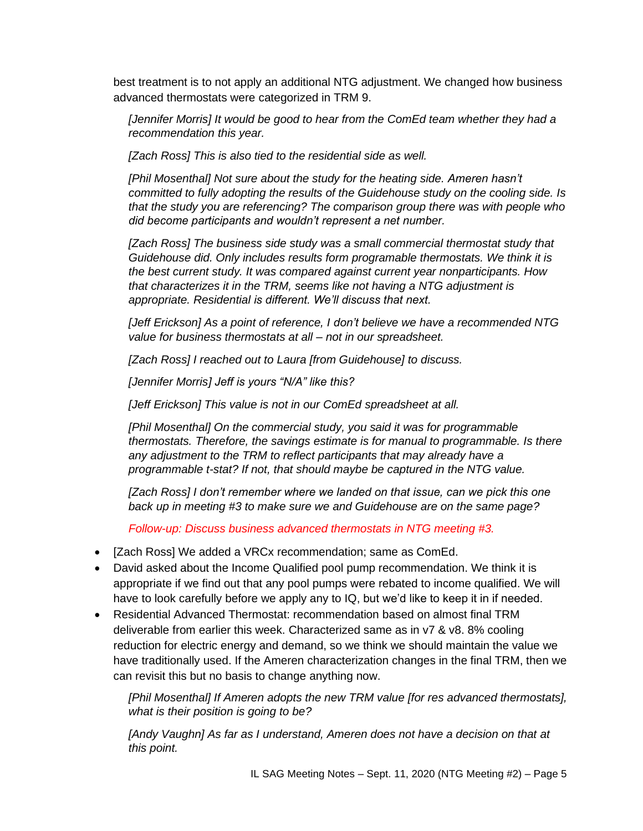best treatment is to not apply an additional NTG adjustment. We changed how business advanced thermostats were categorized in TRM 9.

*[Jennifer Morris] It would be good to hear from the ComEd team whether they had a recommendation this year.*

*[Zach Ross] This is also tied to the residential side as well.*

*[Phil Mosenthal] Not sure about the study for the heating side. Ameren hasn't committed to fully adopting the results of the Guidehouse study on the cooling side. Is that the study you are referencing? The comparison group there was with people who did become participants and wouldn't represent a net number.*

*[Zach Ross] The business side study was a small commercial thermostat study that Guidehouse did. Only includes results form programable thermostats. We think it is the best current study. It was compared against current year nonparticipants. How that characterizes it in the TRM, seems like not having a NTG adjustment is appropriate. Residential is different. We'll discuss that next.*

*[Jeff Erickson] As a point of reference, I don't believe we have a recommended NTG value for business thermostats at all – not in our spreadsheet.*

*[Zach Ross] I reached out to Laura [from Guidehouse] to discuss.*

*[Jennifer Morris] Jeff is yours "N/A" like this?*

*[Jeff Erickson] This value is not in our ComEd spreadsheet at all.*

*[Phil Mosenthal] On the commercial study, you said it was for programmable thermostats. Therefore, the savings estimate is for manual to programmable. Is there any adjustment to the TRM to reflect participants that may already have a programmable t-stat? If not, that should maybe be captured in the NTG value.*

*[Zach Ross] I don't remember where we landed on that issue, can we pick this one back up in meeting #3 to make sure we and Guidehouse are on the same page?*

*Follow-up: Discuss business advanced thermostats in NTG meeting #3.*

- [Zach Ross] We added a VRCx recommendation; same as ComEd.
- David asked about the Income Qualified pool pump recommendation. We think it is appropriate if we find out that any pool pumps were rebated to income qualified. We will have to look carefully before we apply any to IQ, but we'd like to keep it in if needed.
- Residential Advanced Thermostat: recommendation based on almost final TRM deliverable from earlier this week. Characterized same as in v7 & v8. 8% cooling reduction for electric energy and demand, so we think we should maintain the value we have traditionally used. If the Ameren characterization changes in the final TRM, then we can revisit this but no basis to change anything now.

*[Phil Mosenthal] If Ameren adopts the new TRM value [for res advanced thermostats], what is their position is going to be?*

*[Andy Vaughn] As far as I understand, Ameren does not have a decision on that at this point.*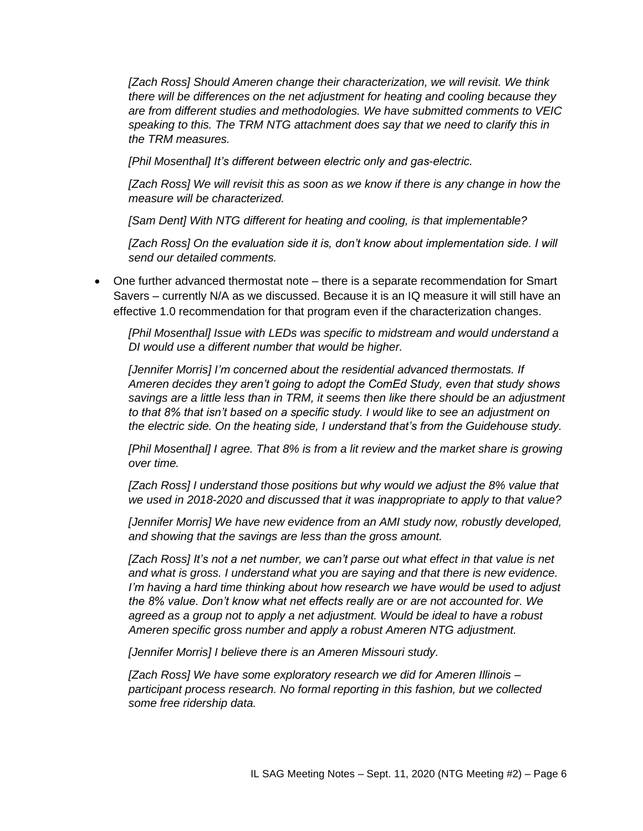*[Zach Ross] Should Ameren change their characterization, we will revisit. We think there will be differences on the net adjustment for heating and cooling because they are from different studies and methodologies. We have submitted comments to VEIC speaking to this. The TRM NTG attachment does say that we need to clarify this in the TRM measures.* 

*[Phil Mosenthal] It's different between electric only and gas-electric.*

*[Zach Ross] We will revisit this as soon as we know if there is any change in how the measure will be characterized.*

*[Sam Dent] With NTG different for heating and cooling, is that implementable?*

*[Zach Ross] On the evaluation side it is, don't know about implementation side. I will send our detailed comments.* 

• One further advanced thermostat note – there is a separate recommendation for Smart Savers – currently N/A as we discussed. Because it is an IQ measure it will still have an effective 1.0 recommendation for that program even if the characterization changes.

*[Phil Mosenthal] Issue with LEDs was specific to midstream and would understand a DI would use a different number that would be higher.*

*[Jennifer Morris] I'm concerned about the residential advanced thermostats. If Ameren decides they aren't going to adopt the ComEd Study, even that study shows savings are a little less than in TRM, it seems then like there should be an adjustment to that 8% that isn't based on a specific study. I would like to see an adjustment on the electric side. On the heating side, I understand that's from the Guidehouse study.* 

*[Phil Mosenthal] I agree. That 8% is from a lit review and the market share is growing over time.* 

*[Zach Ross] I understand those positions but why would we adjust the 8% value that we used in 2018-2020 and discussed that it was inappropriate to apply to that value?*

*[Jennifer Morris] We have new evidence from an AMI study now, robustly developed, and showing that the savings are less than the gross amount.*

*[Zach Ross] It's not a net number, we can't parse out what effect in that value is net and what is gross. I understand what you are saying and that there is new evidence. I'm having a hard time thinking about how research we have would be used to adjust the 8% value. Don't know what net effects really are or are not accounted for. We agreed as a group not to apply a net adjustment. Would be ideal to have a robust Ameren specific gross number and apply a robust Ameren NTG adjustment.*

*[Jennifer Morris] I believe there is an Ameren Missouri study.*

*[Zach Ross] We have some exploratory research we did for Ameren Illinois – participant process research. No formal reporting in this fashion, but we collected some free ridership data.*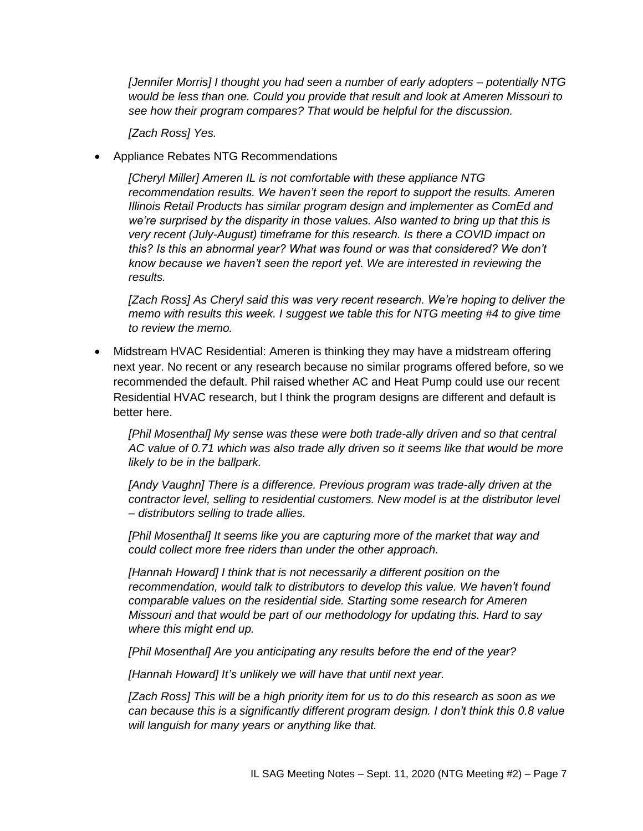*[Jennifer Morris] I thought you had seen a number of early adopters – potentially NTG would be less than one. Could you provide that result and look at Ameren Missouri to see how their program compares? That would be helpful for the discussion.*

*[Zach Ross] Yes.*

• Appliance Rebates NTG Recommendations

*[Cheryl Miller] Ameren IL is not comfortable with these appliance NTG recommendation results. We haven't seen the report to support the results. Ameren Illinois Retail Products has similar program design and implementer as ComEd and we're surprised by the disparity in those values. Also wanted to bring up that this is very recent (July-August) timeframe for this research. Is there a COVID impact on this? Is this an abnormal year? What was found or was that considered? We don't know because we haven't seen the report yet. We are interested in reviewing the results.*

*[Zach Ross] As Cheryl said this was very recent research. We're hoping to deliver the memo with results this week. I suggest we table this for NTG meeting #4 to give time to review the memo.* 

• Midstream HVAC Residential: Ameren is thinking they may have a midstream offering next year. No recent or any research because no similar programs offered before, so we recommended the default. Phil raised whether AC and Heat Pump could use our recent Residential HVAC research, but I think the program designs are different and default is better here.

*[Phil Mosenthal] My sense was these were both trade-ally driven and so that central AC value of 0.71 which was also trade ally driven so it seems like that would be more likely to be in the ballpark.*

*[Andy Vaughn] There is a difference. Previous program was trade-ally driven at the contractor level, selling to residential customers. New model is at the distributor level – distributors selling to trade allies.* 

*[Phil Mosenthal] It seems like you are capturing more of the market that way and could collect more free riders than under the other approach.*

*[Hannah Howard] I think that is not necessarily a different position on the recommendation, would talk to distributors to develop this value. We haven't found comparable values on the residential side. Starting some research for Ameren Missouri and that would be part of our methodology for updating this. Hard to say where this might end up.*

*[Phil Mosenthal] Are you anticipating any results before the end of the year?*

*[Hannah Howard] It's unlikely we will have that until next year.*

*[Zach Ross] This will be a high priority item for us to do this research as soon as we can because this is a significantly different program design. I don't think this 0.8 value will languish for many years or anything like that.*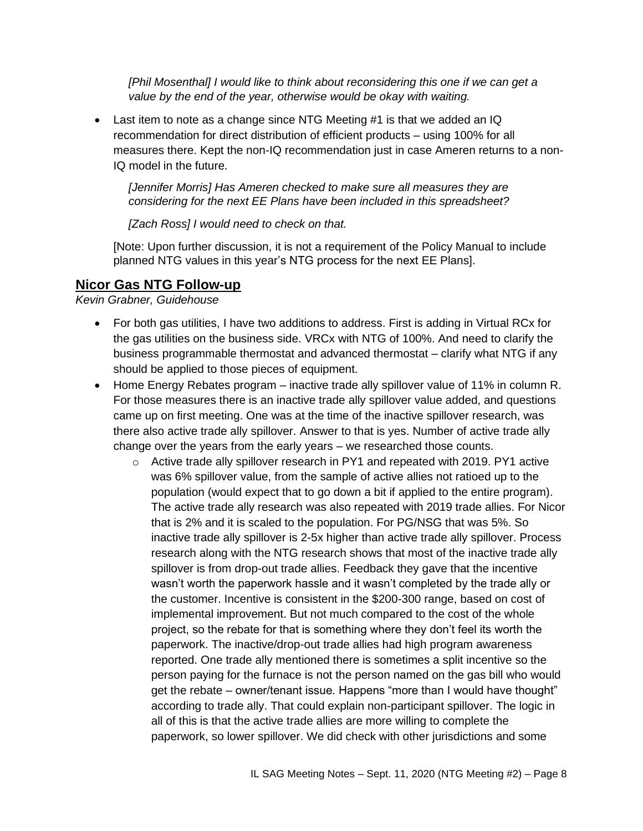*[Phil Mosenthal] I would like to think about reconsidering this one if we can get a value by the end of the year, otherwise would be okay with waiting.*

• Last item to note as a change since NTG Meeting #1 is that we added an IQ recommendation for direct distribution of efficient products – using 100% for all measures there. Kept the non-IQ recommendation just in case Ameren returns to a non-IQ model in the future.

*[Jennifer Morris] Has Ameren checked to make sure all measures they are considering for the next EE Plans have been included in this spreadsheet?*

*[Zach Ross] I would need to check on that.*

[Note: Upon further discussion, it is not a requirement of the Policy Manual to include planned NTG values in this year's NTG process for the next EE Plans].

# **Nicor Gas NTG Follow-up**

*Kevin Grabner, Guidehouse*

- For both gas utilities, I have two additions to address. First is adding in Virtual RCx for the gas utilities on the business side. VRCx with NTG of 100%. And need to clarify the business programmable thermostat and advanced thermostat – clarify what NTG if any should be applied to those pieces of equipment.
- Home Energy Rebates program inactive trade ally spillover value of 11% in column R. For those measures there is an inactive trade ally spillover value added, and questions came up on first meeting. One was at the time of the inactive spillover research, was there also active trade ally spillover. Answer to that is yes. Number of active trade ally change over the years from the early years – we researched those counts.
	- o Active trade ally spillover research in PY1 and repeated with 2019. PY1 active was 6% spillover value, from the sample of active allies not ratioed up to the population (would expect that to go down a bit if applied to the entire program). The active trade ally research was also repeated with 2019 trade allies. For Nicor that is 2% and it is scaled to the population. For PG/NSG that was 5%. So inactive trade ally spillover is 2-5x higher than active trade ally spillover. Process research along with the NTG research shows that most of the inactive trade ally spillover is from drop-out trade allies. Feedback they gave that the incentive wasn't worth the paperwork hassle and it wasn't completed by the trade ally or the customer. Incentive is consistent in the \$200-300 range, based on cost of implemental improvement. But not much compared to the cost of the whole project, so the rebate for that is something where they don't feel its worth the paperwork. The inactive/drop-out trade allies had high program awareness reported. One trade ally mentioned there is sometimes a split incentive so the person paying for the furnace is not the person named on the gas bill who would get the rebate – owner/tenant issue. Happens "more than I would have thought" according to trade ally. That could explain non-participant spillover. The logic in all of this is that the active trade allies are more willing to complete the paperwork, so lower spillover. We did check with other jurisdictions and some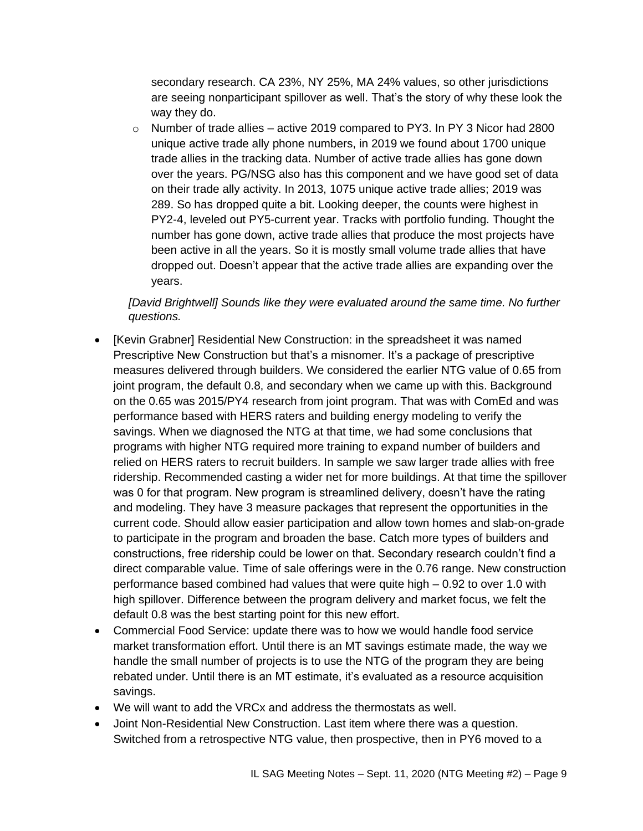secondary research. CA 23%, NY 25%, MA 24% values, so other jurisdictions are seeing nonparticipant spillover as well. That's the story of why these look the way they do.

 $\circ$  Number of trade allies – active 2019 compared to PY3. In PY 3 Nicor had 2800 unique active trade ally phone numbers, in 2019 we found about 1700 unique trade allies in the tracking data. Number of active trade allies has gone down over the years. PG/NSG also has this component and we have good set of data on their trade ally activity. In 2013, 1075 unique active trade allies; 2019 was 289. So has dropped quite a bit. Looking deeper, the counts were highest in PY2-4, leveled out PY5-current year. Tracks with portfolio funding. Thought the number has gone down, active trade allies that produce the most projects have been active in all the years. So it is mostly small volume trade allies that have dropped out. Doesn't appear that the active trade allies are expanding over the years.

*[David Brightwell] Sounds like they were evaluated around the same time. No further questions.*

- [Kevin Grabner] Residential New Construction: in the spreadsheet it was named Prescriptive New Construction but that's a misnomer. It's a package of prescriptive measures delivered through builders. We considered the earlier NTG value of 0.65 from joint program, the default 0.8, and secondary when we came up with this. Background on the 0.65 was 2015/PY4 research from joint program. That was with ComEd and was performance based with HERS raters and building energy modeling to verify the savings. When we diagnosed the NTG at that time, we had some conclusions that programs with higher NTG required more training to expand number of builders and relied on HERS raters to recruit builders. In sample we saw larger trade allies with free ridership. Recommended casting a wider net for more buildings. At that time the spillover was 0 for that program. New program is streamlined delivery, doesn't have the rating and modeling. They have 3 measure packages that represent the opportunities in the current code. Should allow easier participation and allow town homes and slab-on-grade to participate in the program and broaden the base. Catch more types of builders and constructions, free ridership could be lower on that. Secondary research couldn't find a direct comparable value. Time of sale offerings were in the 0.76 range. New construction performance based combined had values that were quite high – 0.92 to over 1.0 with high spillover. Difference between the program delivery and market focus, we felt the default 0.8 was the best starting point for this new effort.
- Commercial Food Service: update there was to how we would handle food service market transformation effort. Until there is an MT savings estimate made, the way we handle the small number of projects is to use the NTG of the program they are being rebated under. Until there is an MT estimate, it's evaluated as a resource acquisition savings.
- We will want to add the VRCx and address the thermostats as well.
- Joint Non-Residential New Construction. Last item where there was a question. Switched from a retrospective NTG value, then prospective, then in PY6 moved to a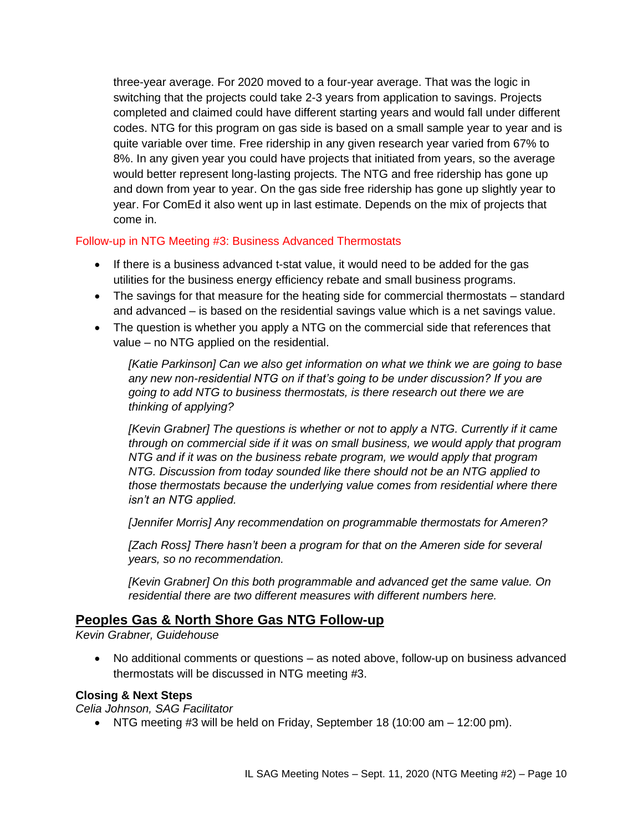three-year average. For 2020 moved to a four-year average. That was the logic in switching that the projects could take 2-3 years from application to savings. Projects completed and claimed could have different starting years and would fall under different codes. NTG for this program on gas side is based on a small sample year to year and is quite variable over time. Free ridership in any given research year varied from 67% to 8%. In any given year you could have projects that initiated from years, so the average would better represent long-lasting projects. The NTG and free ridership has gone up and down from year to year. On the gas side free ridership has gone up slightly year to year. For ComEd it also went up in last estimate. Depends on the mix of projects that come in.

## Follow-up in NTG Meeting #3: Business Advanced Thermostats

- If there is a business advanced t-stat value, it would need to be added for the gas utilities for the business energy efficiency rebate and small business programs.
- The savings for that measure for the heating side for commercial thermostats standard and advanced – is based on the residential savings value which is a net savings value.
- The question is whether you apply a NTG on the commercial side that references that value – no NTG applied on the residential.

*[Katie Parkinson] Can we also get information on what we think we are going to base any new non-residential NTG on if that's going to be under discussion? If you are going to add NTG to business thermostats, is there research out there we are thinking of applying?*

*[Kevin Grabner] The questions is whether or not to apply a NTG. Currently if it came through on commercial side if it was on small business, we would apply that program NTG and if it was on the business rebate program, we would apply that program NTG. Discussion from today sounded like there should not be an NTG applied to those thermostats because the underlying value comes from residential where there isn't an NTG applied.*

*[Jennifer Morris] Any recommendation on programmable thermostats for Ameren?*

*[Zach Ross] There hasn't been a program for that on the Ameren side for several years, so no recommendation.*

*[Kevin Grabner] On this both programmable and advanced get the same value. On residential there are two different measures with different numbers here.* 

# **Peoples Gas & North Shore Gas NTG Follow-up**

*Kevin Grabner, Guidehouse*

• No additional comments or questions – as noted above, follow-up on business advanced thermostats will be discussed in NTG meeting #3.

## **Closing & Next Steps**

*Celia Johnson, SAG Facilitator*

• NTG meeting #3 will be held on Friday, September 18 (10:00 am – 12:00 pm).